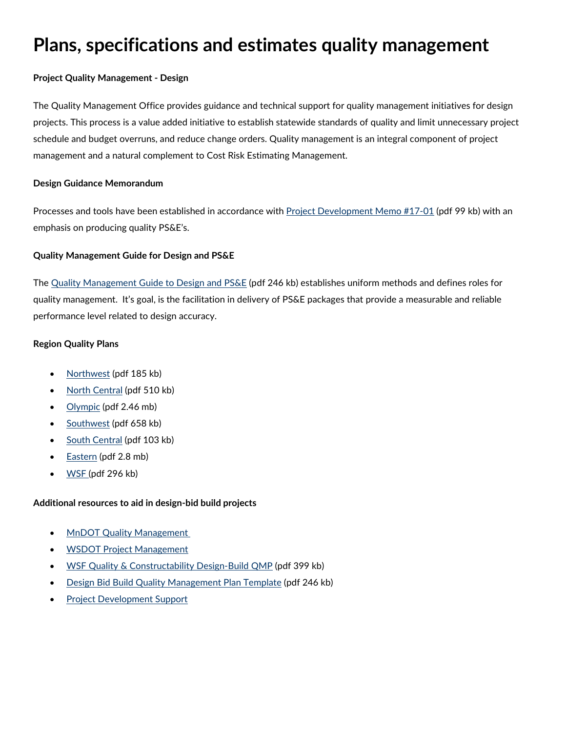## **Plans, specifications and estimates quality management**

## **Project Quality Management - Design**

The Quality Management Office provides guidance and technical support for quality management initiatives for design projects. This process is a value added initiative to establish statewide standards of quality and limit unnecessary project schedule and budget overruns, and reduce change orders. Quality management is an integral component of project management and a natural complement to Cost Risk Estimating Management.

### **Design Guidance Memorandum**

Processes and tools have been established in accordance with [Project Development Memo #17-01](https://wsdot.wa.gov/publications/fulltext/ProjectDev/PSEProgram/Design-Guidance-Memo-17-01.pdf) (pdf 99 kb) with an emphasis on producing quality PS&E's.

## **Quality Management Guide for Design and PS&E**

The [Quality Management Guide to Design and PS&E](https://wsdot.wa.gov/publications/fulltext/ProjectDev/PSEProgram/Quality-Management-Guide-for-PSE.pdf) (pdf 246 kb) establishes uniform methods and defines roles for quality management. It's goal, is the facilitation in delivery of PS&E packages that provide a measurable and reliable performance level related to design accuracy.

## **Region Quality Plans**

- [Northwest](https://wsdot.wa.gov/publications/fulltext/ProjectDev/PSEProgram/NWR-Quality-Management-Plan.pdf) (pdf 185 kb)
- [North Central](https://wsdot.wa.gov/publications/fulltext/ProjectDev/PSEProgram/NCR-Quality-Management-Plan.pdf) (pdf 510 kb)
- [Olympic](https://wsdot.wa.gov/publications/fulltext/ProjectDev/PSEProgram/OR-QualityManagementPlan.pdf) (pdf 2.46 mb)
- [Southwest](https://wsdot.wa.gov/publications/fulltext/ProjectDev/PSEProgram/SouthWestRegion-QualityPlan.pdf) (pdf 658 kb)
- [South Central](https://wsdot.wa.gov/publications/fulltext/ProjectDev/PSEProgram/SCR-Quality-Management-Plan.pdf) (pdf 103 kb)
- [Eastern](https://whttps/wsdot.wa.gov/publications/fulltext/ProjectDev/PSEProgram/EasternRegion-QualityPlan.pdf) (pdf 2.8 mb)
- [WSF](https://wsdot.wa.gov/publications/fulltext/ProjectDev/PSEProgram/WSF-Quality-Management-Plan.pdf) (pdf 296 kb)

## **Additional resources to aid in design-bid build projects**

- **[MnDOT Quality Management](http://www.dot.state.mn.us/design/qmp/documents/QMP-manual.pdf)**
- [WSDOT Project Management](https://wsdot.wa.gov/engineering-standards/project-management-training/project-management)
- [WSF Quality & Constructability Design-Build QMP](https://wsdot.wa.gov/publications/manuals/fulltext/M3082/230.pdf) (pdf 399 kb)
- [Design Bid Build Quality Management Plan Template](https://wsdot.wa.gov/publications/fulltext/ProjectDev/PSEProgram/DesignBidBuild-QualityManagementPlan-Template.pdf) (pdf 246 kb)
- [Project Development Support](https://wsdot.wa.gov/engineering-standards/design-topics/design-tools-and-support)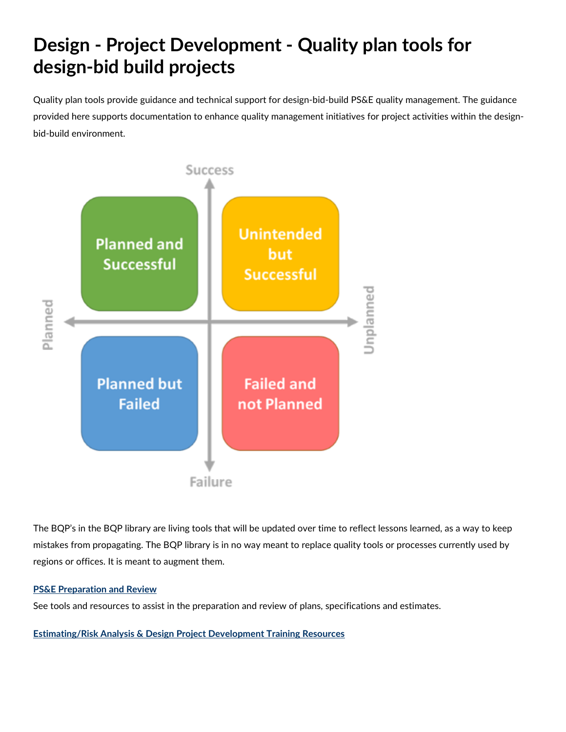# **Design - Project Development - Quality plan tools for design-bid build projects**

Quality plan tools provide guidance and technical support for design-bid-build PS&E quality management. The guidance provided here supports documentation to enhance quality management initiatives for project activities within the designbid-build environment.



The BQP's in the BQP library are living tools that will be updated over time to reflect lessons learned, as a way to keep mistakes from propagating. The BQP library is in no way meant to replace quality tools or processes currently used by regions or offices. It is meant to augment them.

## **[PS&E Preparation and Review](https://wsdot.wa.gov/engineering-standards/design-topics/design-tools-and-support)**

See tools and resources to assist in the preparation and review of plans, specifications and estimates.

**[Estimating/Risk Analysis & Design Project Development Training Resources](https://wsdot.wa.gov/engineering-standards/project-management-training/project-management)**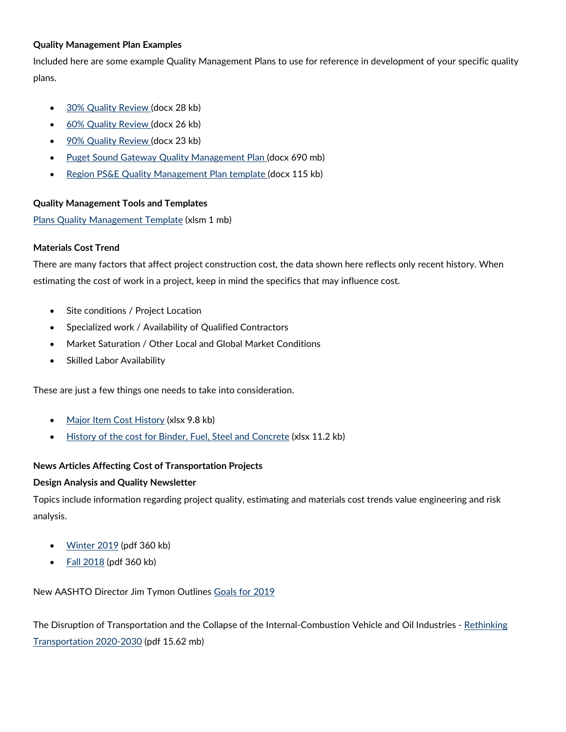### **Quality Management Plan Examples**

Included here are some example Quality Management Plans to use for reference in development of your specific quality plans.

- [30% Quality Review](https://wsdot.wa.gov/publications/fulltext/ProjectDev/PSEProgram/30-Quality-Review.docx) (docx 28 kb)
- [60% Quality Review](https://wsdot.wa.gov/publications/fulltext/ProjectDev/PSEProgram/60-Quality-Review.docx) (docx 26 kb)
- [90% Quality Review](https://wsdot.wa.gov/publications/fulltext/ProjectDev/PSEProgram/90-Quality-Review.docx) (docx 23 kb)
- [Puget Sound Gateway Quality Management Plan](https://wsdot.wa.gov/publications/fulltext/ProjectDev/PSEProgram/Puget-Sound-Gateway-QM-Plan.docx) (docx 690 mb)
- [Region PS&E Quality Management Plan template](https://wsdot.wa.gov/publications/fulltext/ProjectDev/PSEProgram/Region-Quality-Management-Plan.docx) (docx 115 kb)

## **Quality Management Tools and Templates**

[Plans Quality Management Template](https://wsdot.wa.gov/publications/fulltext/ProjectDev/PSEProgram/ProjectQualityManagementTemplate.xlsm) (xlsm 1 mb)

## **Materials Cost Trend**

There are many factors that affect project construction cost, the data shown here reflects only recent history. When estimating the cost of work in a project, keep in mind the specifics that may influence cost.

- Site conditions / Project Location
- Specialized work / Availability of Qualified Contractors
- Market Saturation / Other Local and Global Market Conditions
- Skilled Labor Availability

These are just a few things one needs to take into consideration.

- [Major Item Cost History](https://wsdot.wa.gov/publications/fulltext/ProjectDev/PSEProgram/Major-Item-Cost-History.xlsx) (xlsx 9.8 kb)
- [History of the cost for Binder, Fuel, Steel and Concrete](https://wsdot.wa.gov/publications/fulltext/ProjectDev/PSEProgram/Cost-For-Binder-Fuel-Steel-Conc.xlsx) (xlsx 11.2 kb)

### **News Articles Affecting Cost of Transportation Projects**

### **Design Analysis and Quality Newsletter**

Topics include information regarding project quality, estimating and materials cost trends value engineering and risk analysis.

- [Winter 2019](https://wsdot.wa.gov/publications/fulltext/ProjectDev/PSEProgram/Design-Analysis-Winter-2019-Newsletter.pdf) (pdf 360 kb)
- $\bullet$  [Fall 2018](https://wsdot.wa.gov/publications/fulltext/ProjectDev/PSEProgram/Design-Analysis-Fall-2018-Newsletter.pdf) (pdf 360 kb)

New AASHTO Director Jim Tymon Outlines [Goals for 2019](https://www.ttnews.com/articles/new-aashto-director-jim-tymon-outlines-goals-2019)

The Disruption of Transportation and the Collapse of the Internal-Combustion Vehicle and Oil Industries - Rethinking [Transportation 2020-2030](https://wsdot.wa.gov/publications/fulltext/ProjectDev/PSEProgram/Disruption-of-Transportation.pdf) (pdf 15.62 mb)